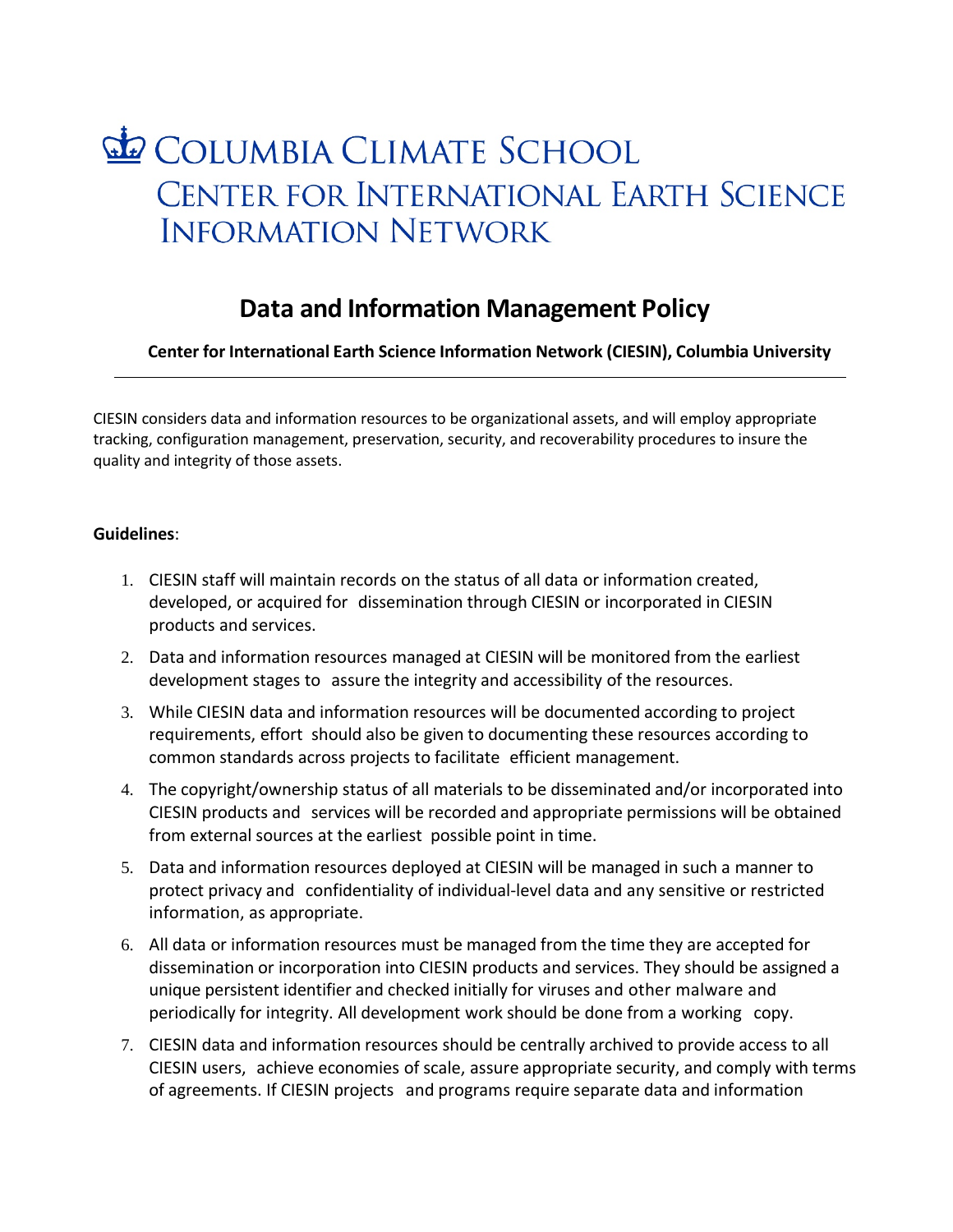## COLUMBIA CLIMATE SCHOOL CENTER FOR INTERNATIONAL EARTH SCIENCE **INFORMATION NETWORK**

## **Data and Information Management Policy**

**Center for International Earth Science Information Network (CIESIN), Columbia University**

CIESIN considers data and information resources to be organizational assets, and will employ appropriate tracking, configuration management, preservation, security, and recoverability procedures to insure the quality and integrity of those assets.

## **Guidelines**:

- 1. CIESIN staff will maintain records on the status of all data or information created, developed, or acquired for dissemination through CIESIN or incorporated in CIESIN products and services.
- 2. Data and information resources managed at CIESIN will be monitored from the earliest development stages to assure the integrity and accessibility of the resources.
- 3. While CIESIN data and information resources will be documented according to project requirements, effort should also be given to documenting these resources according to common standards across projects to facilitate efficient management.
- 4. The copyright/ownership status of all materials to be disseminated and/or incorporated into CIESIN products and services will be recorded and appropriate permissions will be obtained from external sources at the earliest possible point in time.
- 5. Data and information resources deployed at CIESIN will be managed in such a manner to protect privacy and confidentiality of individual-level data and any sensitive or restricted information, as appropriate.
- 6. All data or information resources must be managed from the time they are accepted for dissemination or incorporation into CIESIN products and services. They should be assigned a unique persistent identifier and checked initially for viruses and other malware and periodically for integrity. All development work should be done from a working copy.
- 7. CIESIN data and information resources should be centrally archived to provide access to all CIESIN users, achieve economies of scale, assure appropriate security, and comply with terms of agreements. If CIESIN projects and programs require separate data and information